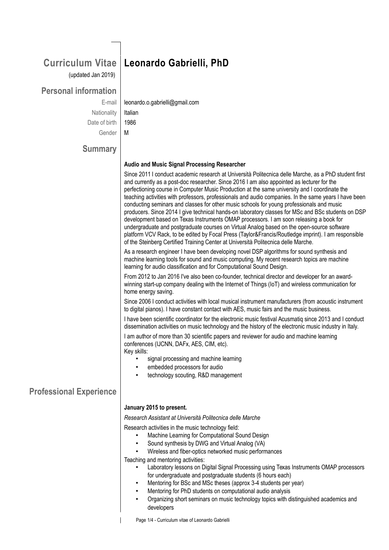### **Curriculum Vitae** (updated Jan 2019)

## **Personal information**

Nationality | Italian Date of birth | 1986 Gender M

# **Leonardo Gabrielli, PhD**

E-mail | leonardo.o.gabrielli@gmail.com

# **Summary**

#### **Audio and Music Signal Processing Researcher**

Since 2011 I conduct academic research at Università Politecnica delle Marche, as a PhD student first and currently as a post-doc researcher. Since 2016 I am also appointed as lecturer for the perfectioning course in Computer Music Production at the same university and I coordinate the teaching activities with professors, professionals and audio companies. In the same years I have been conducting seminars and classes for other music schools for young professionals and music producers. Since 2014 I give technical hands-on laboratory classes for MSc and BSc students on DSP development based on Texas Instruments OMAP processors. I am soon releasing a book for undergraduate and postgraduate courses on Virtual Analog based on the open-source software platform VCV Rack, to be edited by Focal Press (Taylor&Francis/Routledge imprint). I am responsible of the Steinberg Certified Training Center at Università Politecnica delle Marche.

As a research engineer I have been developing novel DSP algorithms for sound synthesis and machine learning tools for sound and music computing. My recent research topics are machine learning for audio classification and for Computational Sound Design.

From 2012 to Jan 2016 I've also been co-founder, technical director and developer for an awardwinning start-up company dealing with the Internet of Things (IoT) and wireless communication for home energy saving.

Since 2006 I conduct activities with local musical instrument manufacturers (from acoustic instrument to digital pianos). I have constant contact with AES, music fairs and the music business.

I have been scientific coordinator for the electronic music festival Acusmatiq since 2013 and I conduct dissemination activities on music technology and the history of the electronic music industry in Italy.

I am author of more than 30 scientific papers and reviewer for audio and machine learning conferences (IJCNN, DAFx, AES, CIM, etc). Key skills:

- signal processing and machine learning
- embedded processors for audio
- technology scouting, R&D management

# **Professional Experience**

#### **January 2015 to present.**

*Research Assistant at Università Politecnica delle Marche*

Research activities in the music technology field:

- Machine Learning for Computational Sound Design
- Sound synthesis by DWG and Virtual Analog (VA)
- Wireless and fiber-optics networked music performances

Teaching and mentoring activities:

- Laboratory lessons on Digital Signal Processing using Texas Instruments OMAP processors for undergraduate and postgraduate students (6 hours each)
- Mentoring for BSc and MSc theses (approx 3-4 students per year)
	- Mentoring for PhD students on computational audio analysis
	- Organizing short seminars on music technology topics with distinguished academics and developers

Page 1/4 - Curriculum vitae of Leonardo Gabrielli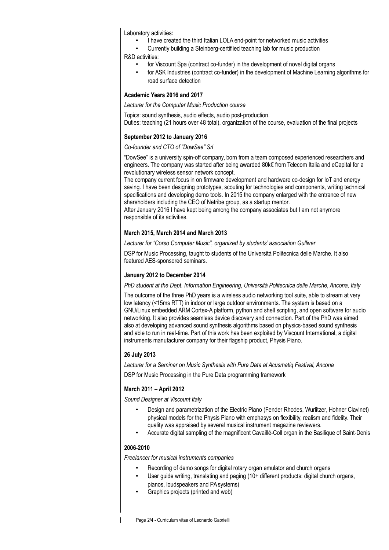Laboratory activities:

- I have created the third Italian LOLA end-point for networked music activities
- Currently building a Steinberg-certifiied teaching lab for music production R&D activities:
	- for Viscount Spa (contract co-funder) in the development of novel digital organs
	- for ASK Industries (contract co-funder) in the development of Machine Learning algorithms for road surface detection

#### **Academic Years 2016 and 2017**

*Lecturer for the Computer Music Production course*

Topics: sound synthesis, audio effects, audio post-production.

Duties: teaching (21 hours over 48 total), organization of the course, evaluation of the final projects

#### **September 2012 to January 2016**

#### *Co-founder and CTO of "DowSee" Srl*

"DowSee" is a university spin-off company, born from a team composed experienced researchers and engineers. The company was started after being awarded 80k€ from Telecom Italia and eCapital for a revolutionary wireless sensor network concept.

The company current focus in on firmware development and hardware co-design for IoT and energy saving. I have been designing prototypes, scouting for technologies and components, writing technical specifications and developing demo tools. In 2015 the company enlarged with the entrance of new shareholders including the CEO of Netribe group, as a startup mentor.

After January 2016 I have kept being among the company associates but I am not anymore responsible of its activities.

#### **March 2015, March 2014 and March 2013**

*Lecturer for "Corso Computer Music", organized by students' association Gulliver*

DSP for Music Processing, taught to students of the Università Politecnica delle Marche. It also featured AES-sponsored seminars.

#### **January 2012 to December 2014**

*PhD student at the Dept. Information Engineering, Università Politecnica delle Marche, Ancona, Italy*

The outcome of the three PhD years is a wireless audio networking tool suite, able to stream at very low latency (<15ms RTT) in indoor or large outdoor environments. The system is based on a GNU/Linux embedded ARM Cortex-A platform, python and shell scripting, and open software for audio networking. It also provides seamless device discovery and connection. Part of the PhD was aimed also at developing advanced sound synthesis algorithms based on physics-based sound synthesis and able to run in real-time. Part of this work has been exploited by Viscount International, a digital instruments manufacturer company for their flagship product, Physis Piano.

#### **26 July 2013**

*Lecturer for a Seminar on Music Synthesis with Pure Data at Acusmatiq Festival, Ancona*

DSP for Music Processing in the Pure Data programming framework

#### **March 2011 – April 2012**

*Sound Designer at Viscount Italy*

- Design and parametrization of the Electric Piano (Fender Rhodes, Wurlitzer, Hohner Clavinet) physical models for the Physis Piano with emphasys on flexibility, realism and fidelity. Their quality was appraised by several musical instrument magazine reviewers.
- Accurate digital sampling of the magnificent Cavaillé-Coll organ in the Basilique of Saint-Denis

#### **2006-2010**

*Freelancer for musical instruments companies*

- Recording of demo songs for digital rotary organ emulator and church organs
- User quide writing, translating and paging (10+ different products: digital church organs, pianos, loudspeakers and PA systems)
- Graphics projects (printed and web)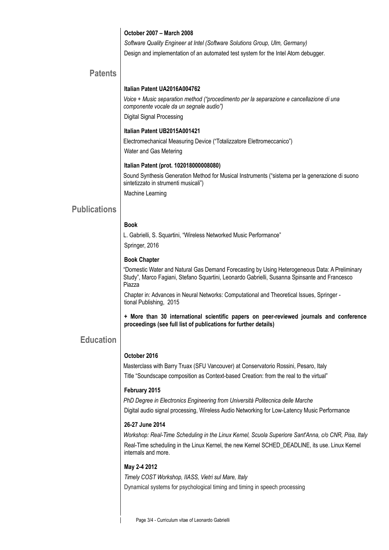#### **October 2007 – March 2008**

*Software Quality Engineer at Intel (Software Solutions Group, Ulm, Germany)* Design and implementation of an automated test system for the Intel Atom debugger.

### **Patents**

#### **Italian Patent UA2016A004762**

 *Voice + Music separation method ("procedimento per la separazione e cancellazione di una componente vocale da un segnale audio")* Digital Signal Processing

#### **Italian Patent UB2015A001421**

 Electromechanical Measuring Device ("Totalizzatore Elettromeccanico") Water and Gas Metering

#### **Italian Patent (prot. 102018000008080)**

 Sound Synthesis Generation Method for Musical Instruments ("sistema per la generazione di suono sintetizzato in strumenti musicali") Machine Learning

### **Publications**

#### **Book**

 L. Gabrielli, S. Squartini, "Wireless Networked Music Performance" Springer, 2016

#### **Book Chapter**

 "Domestic Water and Natural Gas Demand Forecasting by Using Heterogeneous Data: A Preliminary Study", Marco Fagiani, Stefano Squartini, Leonardo Gabrielli, Susanna Spinsante and Francesco Piazza

Chapter in: Advances in Neural Networks: Computational and Theoretical Issues, Springer tional Publishing, 2015

**+ More than 30 international scientific papers on peer-reviewed journals and conference proceedings (see full list of publications for further details)**

### **Education**

#### **October 2016**

 Masterclass with Barry Truax (SFU Vancouver) at Conservatorio Rossini, Pesaro, Italy Title "Soundscape composition as Context-based Creation: from the real to the virtual"

#### **February 2015**

*PhD Degree in Electronics Engineering from Università Politecnica delle Marche*

Digital audio signal processing, Wireless Audio Networking for Low-Latency Music Performance

#### **26-27 June 2014**

 *Workshop: Real-Time Scheduling in the Linux Kernel, Scuola Superiore Sant'Anna, c/o CNR, Pisa, Italy* Real-Time scheduling in the Linux Kernel, the new Kernel SCHED\_DEADLINE, its use. Linux Kernel internals and more.

#### **May 2-4 2012**

*Timely COST Workshop, IIASS, Vietri sul Mare, Italy* Dynamical systems for psychological timing and timing in speech processing